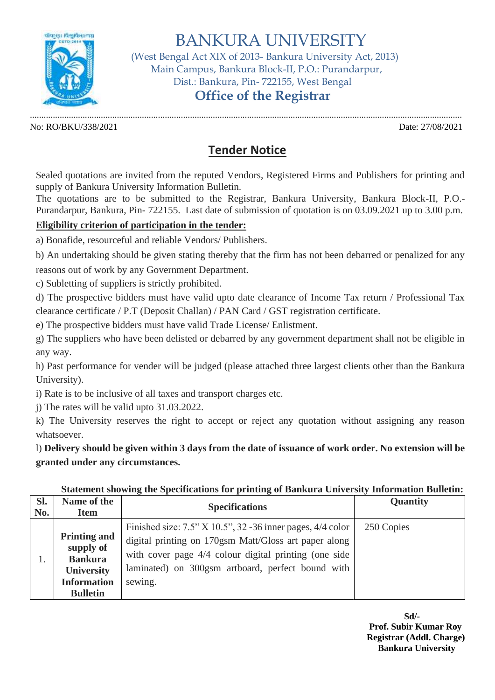

BANKURA UNIVERSITY

 (West Bengal Act XIX of 2013- Bankura University Act, 2013) Main Campus, Bankura Block-II, P.O.: Purandarpur, Dist.: Bankura, Pin- 722155, West Bengal

## **Office of the Registrar**

No: RO/BKU/338/2021 Date: 27/08/2021

.............................................................................................................................................................................................

## **Tender Notice**

Sealed quotations are invited from the reputed Vendors, Registered Firms and Publishers for printing and supply of Bankura University Information Bulletin.

The quotations are to be submitted to the Registrar, Bankura University, Bankura Block-II, P.O.- Purandarpur, Bankura, Pin- 722155. Last date of submission of quotation is on 03.09.2021 up to 3.00 p.m.

## **Eligibility criterion of participation in the tender:**

a) Bonafide, resourceful and reliable Vendors/ Publishers.

b) An undertaking should be given stating thereby that the firm has not been debarred or penalized for any

reasons out of work by any Government Department.

c) Subletting of suppliers is strictly prohibited.

d) The prospective bidders must have valid upto date clearance of Income Tax return / Professional Tax clearance certificate / P.T (Deposit Challan) / PAN Card / GST registration certificate.

e) The prospective bidders must have valid Trade License/ Enlistment.

g) The suppliers who have been delisted or debarred by any government department shall not be eligible in any way.

h) Past performance for vender will be judged (please attached three largest clients other than the Bankura University).

i) Rate is to be inclusive of all taxes and transport charges etc.

j) The rates will be valid upto 31.03.2022.

k) The University reserves the right to accept or reject any quotation without assigning any reason whatsoever.

l) **Delivery should be given within 3 days from the date of issuance of work order. No extension will be granted under any circumstances.**

| Sl. | Name of the                                                                                                      | <b>Specifications</b>                                                                                                                                                                                                                             | <b>Quantity</b> |
|-----|------------------------------------------------------------------------------------------------------------------|---------------------------------------------------------------------------------------------------------------------------------------------------------------------------------------------------------------------------------------------------|-----------------|
| No. | <b>Item</b>                                                                                                      |                                                                                                                                                                                                                                                   |                 |
|     | <b>Printing and</b><br>supply of<br><b>Bankura</b><br><b>University</b><br><b>Information</b><br><b>Bulletin</b> | Finished size: $7.5$ " X 10.5", 32 -36 inner pages, $4/4$ color<br>digital printing on 170gsm Matt/Gloss art paper along<br>with cover page 4/4 colour digital printing (one side<br>laminated) on 300gsm artboard, perfect bound with<br>sewing. | 250 Copies      |

## **Statement showing the Specifications for printing of Bankura University Information Bulletin:**

**Sd/- Prof. Subir Kumar Roy Registrar (Addl. Charge) Bankura University**